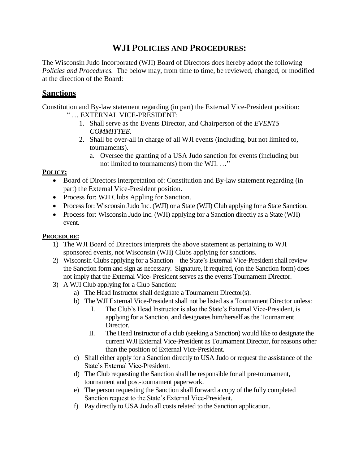## **WJI POLICIES AND PROCEDURES:**

The Wisconsin Judo Incorporated (WJI) Board of Directors does hereby adopt the following *Policies and Procedures.* The below may, from time to time, be reviewed, changed, or modified at the direction of the Board:

## **Sanctions**

Constitution and By-law statement regarding (in part) the External Vice-President position: " … EXTERNAL VICE-PRESIDENT:

- 1. Shall serve as the Events Director, and Chairperson of the *EVENTS COMMITTEE.*
- 2. Shall be over-all in charge of all WJI events (including, but not limited to, tournaments).
	- a. Oversee the granting of a USA Judo sanction for events (including but not limited to tournaments) from the WJI. …"

## **POLICY:**

- Board of Directors interpretation of: Constitution and By-law statement regarding (in part) the External Vice-President position.
- Process for: WJI Clubs Appling for Sanction.
- Process for: Wisconsin Judo Inc. (WJI) or a State (WJI) Club applying for a State Sanction.
- Process for: Wisconsin Judo Inc. (WJI) applying for a Sanction directly as a State (WJI) event.

## **PROCEDURE:**

- 1) The WJI Board of Directors interprets the above statement as pertaining to WJI sponsored events, not Wisconsin (WJI) Clubs applying for sanctions.
- 2) Wisconsin Clubs applying for a Sanction the State's External Vice-President shall review the Sanction form and sign as necessary. Signature, if required, (on the Sanction form) does not imply that the External Vice- President serves as the events Tournament Director.
- 3) A WJI Club applying for a Club Sanction:
	- a) The Head Instructor shall designate a Tournament Director(s).
	- b) The WJI External Vice-President shall not be listed as a Tournament Director unless:
		- I. The Club's Head Instructor is also the State's External Vice-President, is applying for a Sanction, and designates him/herself as the Tournament Director.
		- II. The Head Instructor of a club (seeking a Sanction) would like to designate the current WJI External Vice-President as Tournament Director, for reasons other than the position of External Vice-President.
	- c) Shall either apply for a Sanction directly to USA Judo or request the assistance of the State's External Vice-President.
	- d) The Club requesting the Sanction shall be responsible for all pre-tournament, tournament and post-tournament paperwork.
	- e) The person requesting the Sanction shall forward a copy of the fully completed Sanction request to the State's External Vice-President.
	- f) Pay directly to USA Judo all costs related to the Sanction application.